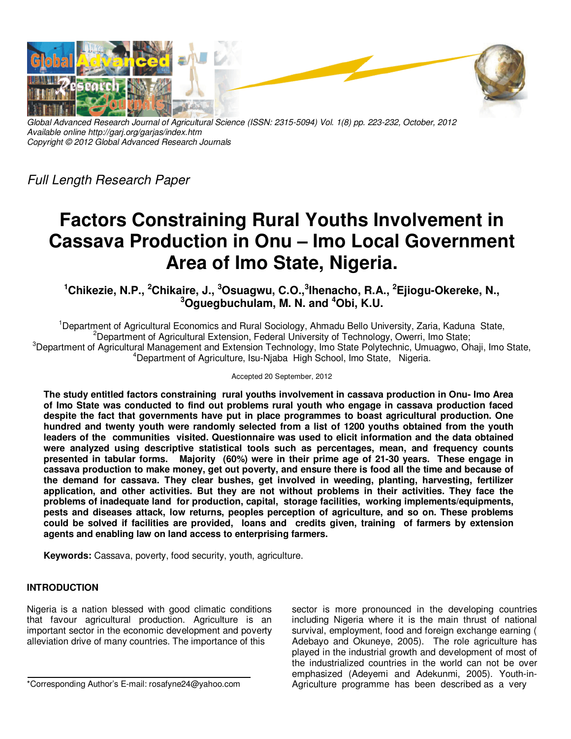

*Global Advanced Research Journal of Agricultural Science (ISSN: 2315-5094) Vol. 1(8) pp. 223-232, October, 2012 Available online http://garj.org/garjas/index.htm Copyright © 2012 Global Advanced Research Journals* 

*Full Length Research Paper* 

# **Factors Constraining Rural Youths Involvement in Cassava Production in Onu – Imo Local Government Area of Imo State, Nigeria.**

**<sup>1</sup>Chikezie, N.P., <sup>2</sup>Chikaire, J., <sup>3</sup>Osuagwu, C.O.,<sup>3</sup> Ihenacho, R.A., <sup>2</sup>Ejiogu-Okereke, N., <sup>3</sup>Oguegbuchulam, M. N. and <sup>4</sup>Obi, K.U.** 

<sup>1</sup>Department of Agricultural Economics and Rural Sociology, Ahmadu Bello University, Zaria, Kaduna State, <sup>2</sup>Department of Agricultural Extension, Federal University of Technology, Owerri, Imo State; <sup>3</sup>Department of Agricultural Management and Extension Technology, Imo State Polytechnic, Umuagwo, Ohaji, Imo State, <sup>4</sup>Department of Agriculture, Isu-Niaba High School, Imo State, Nigeria.

#### Accepted 20 September, 2012

**The study entitled factors constraining rural youths involvement in cassava production in Onu- Imo Area of Imo State was conducted to find out problems rural youth who engage in cassava production faced despite the fact that governments have put in place programmes to boast agricultural production. One hundred and twenty youth were randomly selected from a list of 1200 youths obtained from the youth leaders of the communities visited. Questionnaire was used to elicit information and the data obtained were analyzed using descriptive statistical tools such as percentages, mean, and frequency counts presented in tabular forms. Majority (60%) were in their prime age of 21-30 years. These engage in cassava production to make money, get out poverty, and ensure there is food all the time and because of the demand for cassava. They clear bushes, get involved in weeding, planting, harvesting, fertilizer application, and other activities. But they are not without problems in their activities. They face the problems of inadequate land for production, capital, storage facilities, working implements/equipments, pests and diseases attack, low returns, peoples perception of agriculture, and so on. These problems could be solved if facilities are provided, loans and credits given, training of farmers by extension agents and enabling law on land access to enterprising farmers.** 

**Keywords:** Cassava, poverty, food security, youth, agriculture.

# **INTRODUCTION**

Nigeria is a nation blessed with good climatic conditions that favour agricultural production. Agriculture is an important sector in the economic development and poverty alleviation drive of many countries. The importance of this

\*Corresponding Author's E-mail: rosafyne24@yahoo.com

sector is more pronounced in the developing countries including Nigeria where it is the main thrust of national survival, employment, food and foreign exchange earning ( Adebayo and Okuneye, 2005). The role agriculture has played in the industrial growth and development of most of the industrialized countries in the world can not be over emphasized (Adeyemi and Adekunmi, 2005). Youth-in-Agriculture programme has been described as a very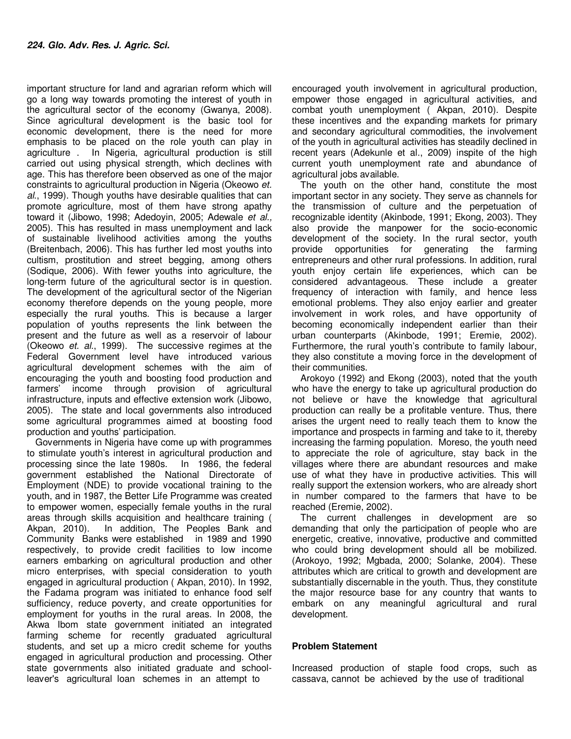important structure for land and agrarian reform which will go a long way towards promoting the interest of youth in the agricultural sector of the economy (Gwanya, 2008). Since agricultural development is the basic tool for economic development, there is the need for more emphasis to be placed on the role youth can play in agriculture . In Nigeria, agricultural production is still carried out using physical strength, which declines with age. This has therefore been observed as one of the major constraints to agricultural production in Nigeria (Okeowo *et. al*., 1999). Though youths have desirable qualities that can promote agriculture, most of them have strong apathy toward it (Jibowo, 1998; Adedoyin, 2005; Adewale *et al.,* 2005). This has resulted in mass unemployment and lack of sustainable livelihood activities among the youths (Breitenbach, 2006). This has further led most youths into cultism, prostitution and street begging, among others (Sodique, 2006). With fewer youths into agriculture, the long-term future of the agricultural sector is in question. The development of the agricultural sector of the Nigerian economy therefore depends on the young people, more especially the rural youths. This is because a larger population of youths represents the link between the present and the future as well as a reservoir of labour (Okeowo *et. al*., 1999). The successive regimes at the Federal Government level have introduced various agricultural development schemes with the aim of encouraging the youth and boosting food production and farmers' income through provision of agricultural infrastructure, inputs and effective extension work (Jibowo, 2005). The state and local governments also introduced some agricultural programmes aimed at boosting food production and youths' participation.

Governments in Nigeria have come up with programmes to stimulate youth's interest in agricultural production and processing since the late 1980s. In 1986, the federal government established the National Directorate of Employment (NDE) to provide vocational training to the youth, and in 1987, the Better Life Programme was created to empower women, especially female youths in the rural areas through skills acquisition and healthcare training ( Akpan, 2010). In addition, The Peoples Bank and Community Banks were established in 1989 and 1990 respectively, to provide credit facilities to low income earners embarking on agricultural production and other micro enterprises, with special consideration to youth engaged in agricultural production ( Akpan, 2010). In 1992, the Fadama program was initiated to enhance food self sufficiency, reduce poverty, and create opportunities for employment for youths in the rural areas. In 2008, the Akwa Ibom state government initiated an integrated farming scheme for recently graduated agricultural students, and set up a micro credit scheme for youths engaged in agricultural production and processing. Other state governments also initiated graduate and schoolleaver's agricultural loan schemes in an attempt to

encouraged youth involvement in agricultural production, empower those engaged in agricultural activities, and combat youth unemployment ( Akpan, 2010). Despite these incentives and the expanding markets for primary and secondary agricultural commodities, the involvement of the youth in agricultural activities has steadily declined in recent years (Adekunle et al., 2009) inspite of the high current youth unemployment rate and abundance of agricultural jobs available.

The youth on the other hand, constitute the most important sector in any society. They serve as channels for the transmission of culture and the perpetuation of recognizable identity (Akinbode, 1991; Ekong, 2003). They also provide the manpower for the socio-economic development of the society. In the rural sector, youth provide opportunities for generating the farming entrepreneurs and other rural professions. In addition, rural youth enjoy certain life experiences, which can be considered advantageous. These include a greater frequency of interaction with family, and hence less emotional problems. They also enjoy earlier and greater involvement in work roles, and have opportunity of becoming economically independent earlier than their urban counterparts (Akinbode, 1991; Eremie, 2002). Furthermore, the rural youth's contribute to family labour, they also constitute a moving force in the development of their communities.

Arokoyo (1992) and Ekong (2003), noted that the youth who have the energy to take up agricultural production do not believe or have the knowledge that agricultural production can really be a profitable venture. Thus, there arises the urgent need to really teach them to know the importance and prospects in farming and take to it, thereby increasing the farming population. Moreso, the youth need to appreciate the role of agriculture, stay back in the villages where there are abundant resources and make use of what they have in productive activities. This will really support the extension workers, who are already short in number compared to the farmers that have to be reached (Eremie, 2002).

The current challenges in development are so demanding that only the participation of people who are energetic, creative, innovative, productive and committed who could bring development should all be mobilized. (Arokoyo, 1992; Mgbada, 2000; Solanke, 2004). These attributes which are critical to growth and development are substantially discernable in the youth. Thus, they constitute the major resource base for any country that wants to embark on any meaningful agricultural and rural development.

#### **Problem Statement**

Increased production of staple food crops, such as cassava, cannot be achieved by the use of traditional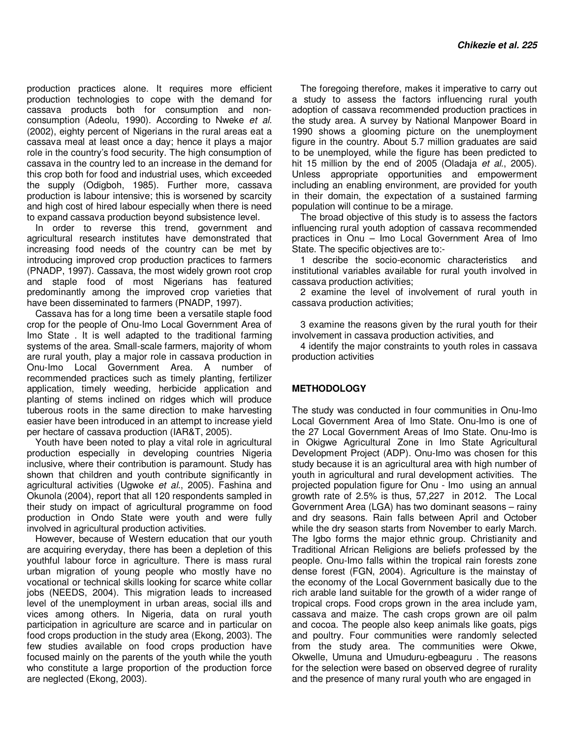production practices alone. It requires more efficient production technologies to cope with the demand for cassava products both for consumption and nonconsumption (Adeolu, 1990). According to Nweke *et al*. (2002), eighty percent of Nigerians in the rural areas eat a cassava meal at least once a day; hence it plays a major role in the country's food security. The high consumption of cassava in the country led to an increase in the demand for this crop both for food and industrial uses, which exceeded the supply (Odigboh, 1985). Further more, cassava production is labour intensive; this is worsened by scarcity and high cost of hired labour especially when there is need to expand cassava production beyond subsistence level.

In order to reverse this trend, government and agricultural research institutes have demonstrated that increasing food needs of the country can be met by introducing improved crop production practices to farmers (PNADP, 1997). Cassava, the most widely grown root crop and staple food of most Nigerians has featured predominantly among the improved crop varieties that have been disseminated to farmers (PNADP, 1997).

Cassava has for a long time been a versatile staple food crop for the people of Onu-Imo Local Government Area of Imo State . It is well adapted to the traditional farming systems of the area. Small-scale farmers, majority of whom are rural youth, play a major role in cassava production in Onu-Imo Local Government Area. A number of recommended practices such as timely planting, fertilizer application, timely weeding, herbicide application and planting of stems inclined on ridges which will produce tuberous roots in the same direction to make harvesting easier have been introduced in an attempt to increase yield per hectare of cassava production (IAR&T, 2005).

Youth have been noted to play a vital role in agricultural production especially in developing countries Nigeria inclusive, where their contribution is paramount. Study has shown that children and youth contribute significantly in agricultural activities (Ugwoke *et al.*, 2005). Fashina and Okunola (2004), report that all 120 respondents sampled in their study on impact of agricultural programme on food production in Ondo State were youth and were fully involved in agricultural production activities.

However, because of Western education that our youth are acquiring everyday, there has been a depletion of this youthful labour force in agriculture. There is mass rural urban migration of young people who mostly have no vocational or technical skills looking for scarce white collar jobs (NEEDS, 2004). This migration leads to increased level of the unemployment in urban areas, social ills and vices among others. In Nigeria, data on rural youth participation in agriculture are scarce and in particular on food crops production in the study area (Ekong, 2003). The few studies available on food crops production have focused mainly on the parents of the youth while the youth who constitute a large proportion of the production force are neglected (Ekong, 2003).

The foregoing therefore, makes it imperative to carry out a study to assess the factors influencing rural youth adoption of cassava recommended production practices in the study area. A survey by National Manpower Board in 1990 shows a glooming picture on the unemployment figure in the country. About 5.7 million graduates are said to be unemployed, while the figure has been predicted to hit 15 million by the end of 2005 (Oladaja *et al.*, 2005). Unless appropriate opportunities and empowerment including an enabling environment, are provided for youth in their domain, the expectation of a sustained farming population will continue to be a mirage.

The broad objective of this study is to assess the factors influencing rural youth adoption of cassava recommended practices in Onu – Imo Local Government Area of Imo State. The specific objectives are to:-

1 describe the socio-economic characteristics and institutional variables available for rural youth involved in cassava production activities;

2 examine the level of involvement of rural youth in cassava production activities;

3 examine the reasons given by the rural youth for their involvement in cassava production activities, and

4 identify the major constraints to youth roles in cassava production activities

#### **METHODOLOGY**

The study was conducted in four communities in Onu-Imo Local Government Area of Imo State. Onu-Imo is one of the 27 Local Government Areas of Imo State. Onu-Imo is in Okigwe Agricultural Zone in Imo State Agricultural Development Project (ADP). Onu-Imo was chosen for this study because it is an agricultural area with high number of youth in agricultural and rural development activities. The projected population figure for Onu - Imo using an annual growth rate of 2.5% is thus, 57,227 in 2012. The Local Government Area (LGA) has two dominant seasons – rainy and dry seasons. Rain falls between April and October while the dry season starts from November to early March. The Igbo forms the major ethnic group. Christianity and Traditional African Religions are beliefs professed by the people. Onu-Imo falls within the tropical rain forests zone dense forest (FGN, 2004). Agriculture is the mainstay of the economy of the Local Government basically due to the rich arable land suitable for the growth of a wider range of tropical crops. Food crops grown in the area include yam, cassava and maize. The cash crops grown are oil palm and cocoa. The people also keep animals like goats, pigs and poultry. Four communities were randomly selected from the study area. The communities were Okwe, Okwelle, Umuna and Umuduru-egbeaguru . The reasons for the selection were based on observed degree of rurality and the presence of many rural youth who are engaged in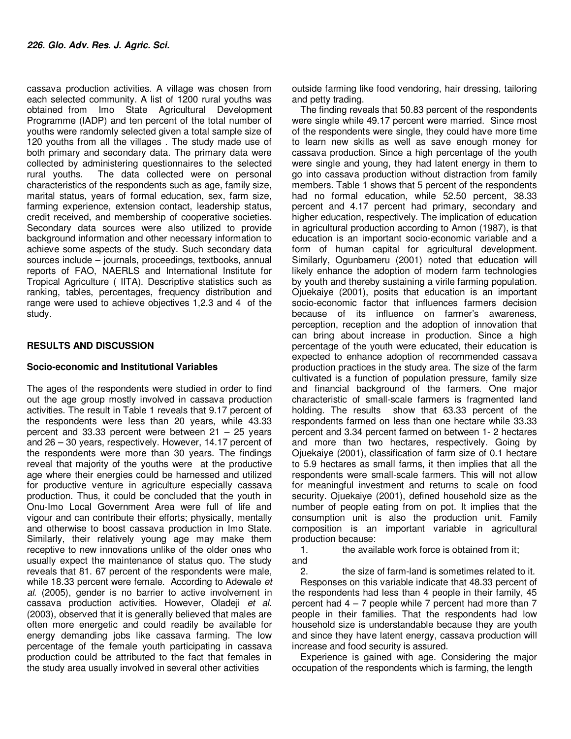cassava production activities. A village was chosen from each selected community. A list of 1200 rural youths was obtained from Imo State Agricultural Development Programme (IADP) and ten percent of the total number of youths were randomly selected given a total sample size of 120 youths from all the villages . The study made use of both primary and secondary data. The primary data were collected by administering questionnaires to the selected rural youths. The data collected were on personal characteristics of the respondents such as age, family size, marital status, years of formal education, sex, farm size, farming experience, extension contact, leadership status, credit received, and membership of cooperative societies. Secondary data sources were also utilized to provide background information and other necessary information to achieve some aspects of the study. Such secondary data sources include – journals, proceedings, textbooks, annual reports of FAO, NAERLS and International Institute for Tropical Agriculture ( IITA). Descriptive statistics such as ranking, tables, percentages, frequency distribution and range were used to achieve objectives 1,2.3 and 4 of the study.

### **RESULTS AND DISCUSSION**

#### **Socio-economic and Institutional Variables**

The ages of the respondents were studied in order to find out the age group mostly involved in cassava production activities. The result in Table 1 reveals that 9.17 percent of the respondents were less than 20 years, while 43.33 percent and 33.33 percent were between  $21 - 25$  years and 26 – 30 years, respectively. However, 14.17 percent of the respondents were more than 30 years. The findings reveal that majority of the youths were at the productive age where their energies could be harnessed and utilized for productive venture in agriculture especially cassava production. Thus, it could be concluded that the youth in Onu-Imo Local Government Area were full of life and vigour and can contribute their efforts; physically, mentally and otherwise to boost cassava production in Imo State. Similarly, their relatively young age may make them receptive to new innovations unlike of the older ones who usually expect the maintenance of status quo. The study reveals that 81. 67 percent of the respondents were male, while 18.33 percent were female. According to Adewale *et al*. (2005), gender is no barrier to active involvement in cassava production activities. However, Oladeji *et al*. (2003), observed that it is generally believed that males are often more energetic and could readily be available for energy demanding jobs like cassava farming. The low percentage of the female youth participating in cassava production could be attributed to the fact that females in the study area usually involved in several other activities

outside farming like food vendoring, hair dressing, tailoring and petty trading.

The finding reveals that 50.83 percent of the respondents were single while 49.17 percent were married. Since most of the respondents were single, they could have more time to learn new skills as well as save enough money for cassava production. Since a high percentage of the youth were single and young, they had latent energy in them to go into cassava production without distraction from family members. Table 1 shows that 5 percent of the respondents had no formal education, while 52.50 percent, 38.33 percent and 4.17 percent had primary, secondary and higher education, respectively. The implication of education in agricultural production according to Arnon (1987), is that education is an important socio-economic variable and a form of human capital for agricultural development. Similarly, Ogunbameru (2001) noted that education will likely enhance the adoption of modern farm technologies by youth and thereby sustaining a virile farming population. Ojuekaiye (2001), posits that education is an important socio-economic factor that influences farmers decision because of its influence on farmer's awareness, perception, reception and the adoption of innovation that can bring about increase in production. Since a high percentage of the youth were educated, their education is expected to enhance adoption of recommended cassava production practices in the study area. The size of the farm cultivated is a function of population pressure, family size and financial background of the farmers. One major characteristic of small-scale farmers is fragmented land holding. The results show that 63.33 percent of the respondents farmed on less than one hectare while 33.33 percent and 3.34 percent farmed on between 1- 2 hectares and more than two hectares, respectively. Going by Ojuekaiye (2001), classification of farm size of 0.1 hectare to 5.9 hectares as small farms, it then implies that all the respondents were small-scale farmers. This will not allow for meaningful investment and returns to scale on food security. Ojuekaiye (2001), defined household size as the number of people eating from on pot. It implies that the consumption unit is also the production unit. Family composition is an important variable in agricultural production because:

1. the available work force is obtained from it; and

2. the size of farm-land is sometimes related to it. Responses on this variable indicate that 48.33 percent of the respondents had less than 4 people in their family, 45 percent had  $4 - 7$  people while 7 percent had more than  $7$ people in their families. That the respondents had low household size is understandable because they are youth and since they have latent energy, cassava production will increase and food security is assured.

Experience is gained with age. Considering the major occupation of the respondents which is farming, the length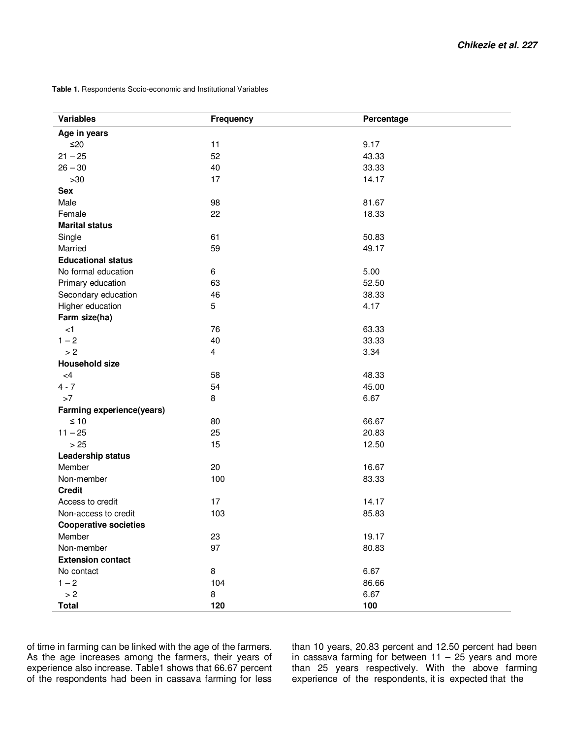**Table 1.** Respondents Socio-economic and Institutional Variables

| <b>Variables</b>             | <b>Frequency</b> | Percentage |
|------------------------------|------------------|------------|
| Age in years                 |                  |            |
| $≤20$                        | 11               | 9.17       |
| $21 - 25$                    | 52               | 43.33      |
| $26 - 30$                    | 40               | 33.33      |
| $>30$                        | 17               | 14.17      |
| <b>Sex</b>                   |                  |            |
| Male                         | 98               | 81.67      |
| Female                       | 22               | 18.33      |
| <b>Marital status</b>        |                  |            |
| Single                       | 61               | 50.83      |
| Married                      | 59               | 49.17      |
| <b>Educational status</b>    |                  |            |
| No formal education          | 6                | 5.00       |
| Primary education            | 63               | 52.50      |
| Secondary education          | 46               | 38.33      |
| Higher education             | 5                | 4.17       |
| Farm size(ha)                |                  |            |
| $\leq$ 1                     | 76               | 63.33      |
| $1 - 2$                      | 40               | 33.33      |
| > 2                          | 4                | 3.34       |
| <b>Household size</b>        |                  |            |
| <4                           | 58               | 48.33      |
| $4 - 7$                      | 54               | 45.00      |
| >7                           | 8                | 6.67       |
| Farming experience(years)    |                  |            |
| $\leq 10$                    | 80               | 66.67      |
| $11 - 25$                    | 25               | 20.83      |
| > 25                         | 15               | 12.50      |
| Leadership status            |                  |            |
| Member                       | 20               | 16.67      |
| Non-member                   | 100              | 83.33      |
| <b>Credit</b>                |                  |            |
| Access to credit             | 17               | 14.17      |
| Non-access to credit         | 103              | 85.83      |
| <b>Cooperative societies</b> |                  |            |
| Member                       | 23               | 19.17      |
| Non-member                   | 97               | 80.83      |
| <b>Extension contact</b>     |                  |            |
| No contact                   | 8                | 6.67       |
| $1 - 2$                      | 104              | 86.66      |
| > 2                          | 8                | 6.67       |
| <b>Total</b>                 | 120              | 100        |

of time in farming can be linked with the age of the farmers. As the age increases among the farmers, their years of experience also increase. Table1 shows that 66.67 percent of the respondents had been in cassava farming for less

than 10 years, 20.83 percent and 12.50 percent had been in cassava farming for between  $11 - 25$  years and more than 25 years respectively. With the above farming experience of the respondents, it is expected that the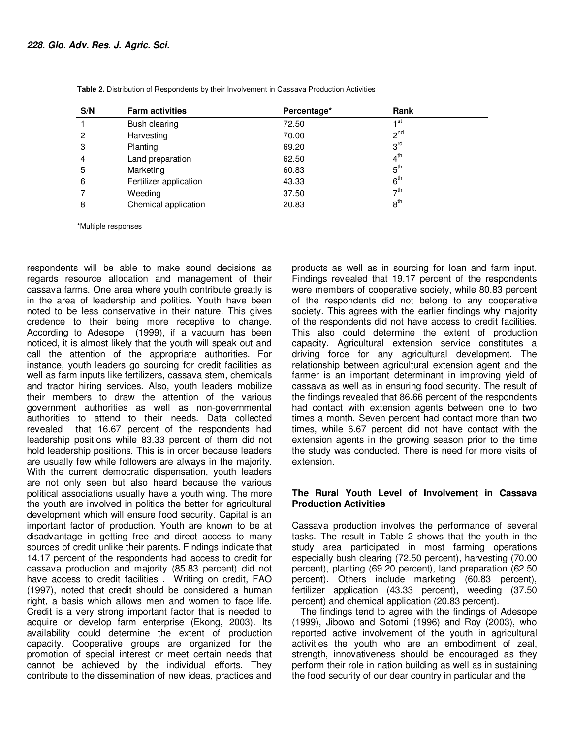| S/N | <b>Farm activities</b> | Percentage* | Rank                 |
|-----|------------------------|-------------|----------------------|
|     | Bush clearing          | 72.50       | ⊣st                  |
| 2   | Harvesting             | 70.00       | $2^{nd}$             |
| 3   | Planting               | 69.20       | 3 <sup>rd</sup>      |
| 4   | Land preparation       | 62.50       | 4 <sup>th</sup>      |
| 5   | Marketing              | 60.83       | 5 <sup>th</sup>      |
| 6   | Fertilizer application | 43.33       | 6 <sup>th</sup>      |
|     | Weeding                | 37.50       | $\tau$ <sup>th</sup> |
| 8   | Chemical application   | 20.83       | 8 <sup>th</sup>      |

**Table 2.** Distribution of Respondents by their Involvement in Cassava Production Activities

\*Multiple responses

respondents will be able to make sound decisions as regards resource allocation and management of their cassava farms. One area where youth contribute greatly is in the area of leadership and politics. Youth have been noted to be less conservative in their nature. This gives credence to their being more receptive to change. According to Adesope (1999), if a vacuum has been noticed, it is almost likely that the youth will speak out and call the attention of the appropriate authorities. For instance, youth leaders go sourcing for credit facilities as well as farm inputs like fertilizers, cassava stem, chemicals and tractor hiring services. Also, youth leaders mobilize their members to draw the attention of the various government authorities as well as non-governmental authorities to attend to their needs. Data collected revealed that 16.67 percent of the respondents had leadership positions while 83.33 percent of them did not hold leadership positions. This is in order because leaders are usually few while followers are always in the majority. With the current democratic dispensation, youth leaders are not only seen but also heard because the various political associations usually have a youth wing. The more the youth are involved in politics the better for agricultural development which will ensure food security. Capital is an important factor of production. Youth are known to be at disadvantage in getting free and direct access to many sources of credit unlike their parents. Findings indicate that 14.17 percent of the respondents had access to credit for cassava production and majority (85.83 percent) did not have access to credit facilities . Writing on credit, FAO (1997), noted that credit should be considered a human right, a basis which allows men and women to face life. Credit is a very strong important factor that is needed to acquire or develop farm enterprise (Ekong, 2003). Its availability could determine the extent of production capacity. Cooperative groups are organized for the promotion of special interest or meet certain needs that cannot be achieved by the individual efforts. They contribute to the dissemination of new ideas, practices and

products as well as in sourcing for loan and farm input. Findings revealed that 19.17 percent of the respondents were members of cooperative society, while 80.83 percent of the respondents did not belong to any cooperative society. This agrees with the earlier findings why majority of the respondents did not have access to credit facilities. This also could determine the extent of production capacity. Agricultural extension service constitutes a driving force for any agricultural development. The relationship between agricultural extension agent and the farmer is an important determinant in improving yield of cassava as well as in ensuring food security. The result of the findings revealed that 86.66 percent of the respondents had contact with extension agents between one to two times a month. Seven percent had contact more than two times, while 6.67 percent did not have contact with the extension agents in the growing season prior to the time the study was conducted. There is need for more visits of extension.

#### **The Rural Youth Level of Involvement in Cassava Production Activities**

Cassava production involves the performance of several tasks. The result in Table 2 shows that the youth in the study area participated in most farming operations especially bush clearing (72.50 percent), harvesting (70.00 percent), planting (69.20 percent), land preparation (62.50 percent). Others include marketing (60.83 percent), fertilizer application (43.33 percent), weeding (37.50 percent) and chemical application (20.83 percent).

The findings tend to agree with the findings of Adesope (1999), Jibowo and Sotomi (1996) and Roy (2003), who reported active involvement of the youth in agricultural activities the youth who are an embodiment of zeal, strength, innovativeness should be encouraged as they perform their role in nation building as well as in sustaining the food security of our dear country in particular and the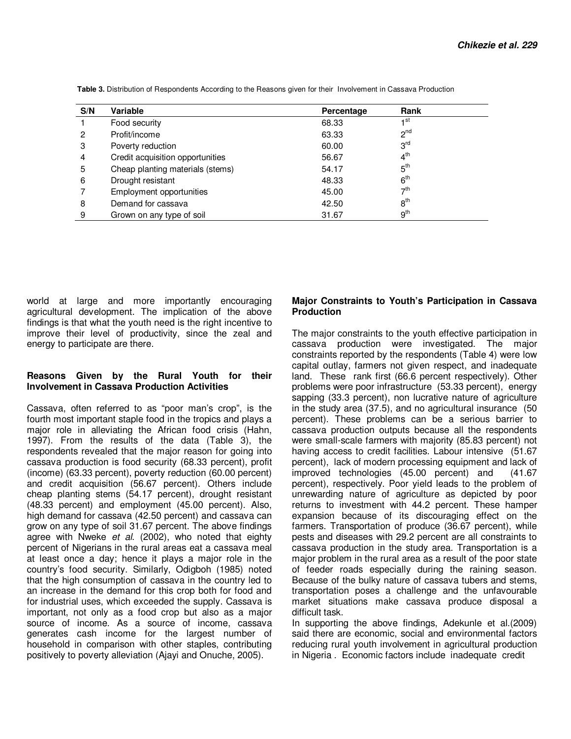| S/N | Variable                         | Percentage | Rank            |
|-----|----------------------------------|------------|-----------------|
|     | Food security                    | 68.33      | ⊣st             |
| 2   | Profit/income                    | 63.33      | $2^{nd}$        |
| 3   | Poverty reduction                | 60.00      | 3 <sup>rd</sup> |
| 4   | Credit acquisition opportunities | 56.67      | 4 <sup>th</sup> |
| 5   | Cheap planting materials (stems) | 54.17      | $5^{\text{th}}$ |
| 6   | Drought resistant                | 48.33      | 6 <sup>th</sup> |
|     | Employment opportunities         | 45.00      | 7 <sup>th</sup> |
| 8   | Demand for cassava               | 42.50      | $8^{\text{th}}$ |
| 9   | Grown on any type of soil        | 31.67      | 9 <sup>th</sup> |

**Table 3.** Distribution of Respondents According to the Reasons given for their Involvement in Cassava Production

world at large and more importantly encouraging agricultural development. The implication of the above findings is that what the youth need is the right incentive to improve their level of productivity, since the zeal and energy to participate are there.

### **Reasons Given by the Rural Youth for their Involvement in Cassava Production Activities**

Cassava, often referred to as "poor man's crop", is the fourth most important staple food in the tropics and plays a major role in alleviating the African food crisis (Hahn, 1997). From the results of the data (Table 3), the respondents revealed that the major reason for going into cassava production is food security (68.33 percent), profit (income) (63.33 percent), poverty reduction (60.00 percent) and credit acquisition (56.67 percent). Others include cheap planting stems (54.17 percent), drought resistant (48.33 percent) and employment (45.00 percent). Also, high demand for cassava (42.50 percent) and cassava can grow on any type of soil 31.67 percent. The above findings agree with Nweke *et al*. (2002), who noted that eighty percent of Nigerians in the rural areas eat a cassava meal at least once a day; hence it plays a major role in the country's food security. Similarly, Odigboh (1985) noted that the high consumption of cassava in the country led to an increase in the demand for this crop both for food and for industrial uses, which exceeded the supply. Cassava is important, not only as a food crop but also as a major source of income. As a source of income, cassava generates cash income for the largest number of household in comparison with other staples, contributing positively to poverty alleviation (Ajayi and Onuche, 2005).

#### **Major Constraints to Youth's Participation in Cassava Production**

The major constraints to the youth effective participation in cassava production were investigated. The major constraints reported by the respondents (Table 4) were low capital outlay, farmers not given respect, and inadequate land. These rank first (66.6 percent respectively). Other problems were poor infrastructure (53.33 percent), energy sapping (33.3 percent), non lucrative nature of agriculture in the study area (37.5), and no agricultural insurance (50 percent). These problems can be a serious barrier to cassava production outputs because all the respondents were small-scale farmers with majority (85.83 percent) not having access to credit facilities. Labour intensive (51.67 percent), lack of modern processing equipment and lack of improved technologies (45.00 percent) and (41.67 percent), respectively. Poor yield leads to the problem of unrewarding nature of agriculture as depicted by poor returns to investment with 44.2 percent. These hamper expansion because of its discouraging effect on the farmers. Transportation of produce (36.67 percent), while pests and diseases with 29.2 percent are all constraints to cassava production in the study area. Transportation is a major problem in the rural area as a result of the poor state of feeder roads especially during the raining season. Because of the bulky nature of cassava tubers and stems, transportation poses a challenge and the unfavourable market situations make cassava produce disposal a difficult task.

In supporting the above findings, Adekunle et al.(2009) said there are economic, social and environmental factors reducing rural youth involvement in agricultural production in Nigeria . Economic factors include inadequate credit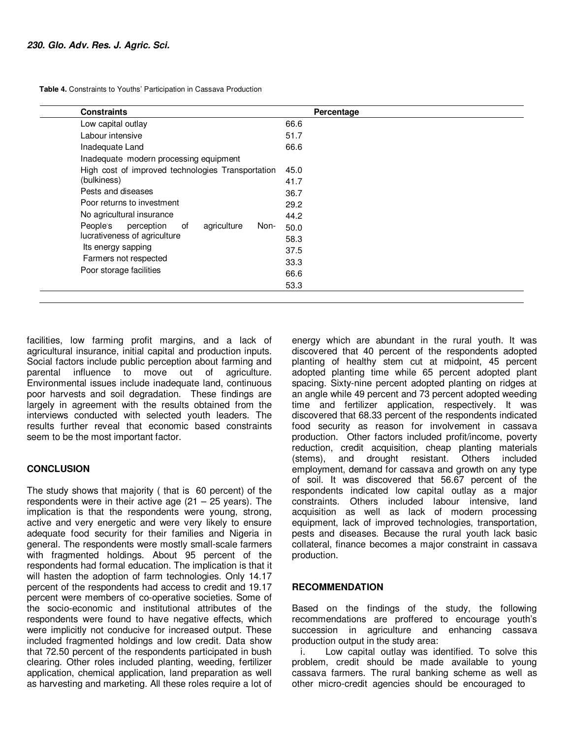**Table 4.** Constraints to Youths' Participation in Cassava Production

| <b>Constraints</b>                                  | Percentage |
|-----------------------------------------------------|------------|
| Low capital outlay                                  | 66.6       |
| Labour intensive                                    | 51.7       |
| Inadequate Land                                     | 66.6       |
| Inadequate modern processing equipment              |            |
| High cost of improved technologies Transportation   | 45.0       |
| (bulkiness)                                         | 41.7       |
| Pests and diseases                                  | 36.7       |
| Poor returns to investment                          | 29.2       |
| No agricultural insurance                           | 44.2       |
| People's<br>perception<br>agriculture<br>of<br>Non- | 50.0       |
| lucrativeness of agriculture                        | 58.3       |
| Its energy sapping                                  | 37.5       |
| Farmers not respected                               | 33.3       |
| Poor storage facilities                             | 66.6       |
|                                                     | 53.3       |

facilities, low farming profit margins, and a lack of agricultural insurance, initial capital and production inputs. Social factors include public perception about farming and parental influence to move out of agriculture. Environmental issues include inadequate land, continuous poor harvests and soil degradation. These findings are largely in agreement with the results obtained from the interviews conducted with selected youth leaders. The results further reveal that economic based constraints seem to be the most important factor.

# **CONCLUSION**

The study shows that majority ( that is 60 percent) of the respondents were in their active age  $(21 - 25$  years). The implication is that the respondents were young, strong, active and very energetic and were very likely to ensure adequate food security for their families and Nigeria in general. The respondents were mostly small-scale farmers with fragmented holdings. About 95 percent of the respondents had formal education. The implication is that it will hasten the adoption of farm technologies. Only 14.17 percent of the respondents had access to credit and 19.17 percent were members of co-operative societies. Some of the socio-economic and institutional attributes of the respondents were found to have negative effects, which were implicitly not conducive for increased output. These included fragmented holdings and low credit. Data show that 72.50 percent of the respondents participated in bush clearing. Other roles included planting, weeding, fertilizer application, chemical application, land preparation as well as harvesting and marketing. All these roles require a lot of energy which are abundant in the rural youth. It was discovered that 40 percent of the respondents adopted planting of healthy stem cut at midpoint, 45 percent adopted planting time while 65 percent adopted plant spacing. Sixty-nine percent adopted planting on ridges at an angle while 49 percent and 73 percent adopted weeding time and fertilizer application, respectively. It was discovered that 68.33 percent of the respondents indicated food security as reason for involvement in cassava production. Other factors included profit/income, poverty reduction, credit acquisition, cheap planting materials (stems), and drought resistant. Others included employment, demand for cassava and growth on any type of soil. It was discovered that 56.67 percent of the respondents indicated low capital outlay as a major constraints. Others included labour intensive, land acquisition as well as lack of modern processing equipment, lack of improved technologies, transportation, pests and diseases. Because the rural youth lack basic collateral, finance becomes a major constraint in cassava production.

#### **RECOMMENDATION**

Based on the findings of the study, the following recommendations are proffered to encourage youth's succession in agriculture and enhancing cassava production output in the study area:

i. Low capital outlay was identified. To solve this problem, credit should be made available to young cassava farmers. The rural banking scheme as well as other micro-credit agencies should be encouraged to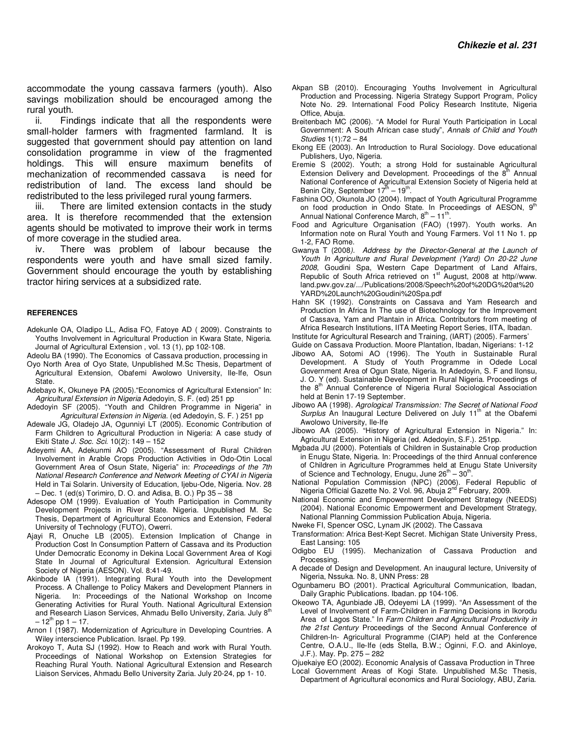accommodate the young cassava farmers (youth). Also savings mobilization should be encouraged among the rural youth.

ii. Findings indicate that all the respondents were small-holder farmers with fragmented farmland. It is suggested that government should pay attention on land consolidation programme in view of the fragmented holdings. This will ensure maximum benefits of mechanization of recommended cassava is need for redistribution of land. The excess land should be redistributed to the less privileged rural young farmers.

iii. There are limited extension contacts in the study area. It is therefore recommended that the extension agents should be motivated to improve their work in terms of more coverage in the studied area.

iv. There was problem of labour because the respondents were youth and have small sized family. Government should encourage the youth by establishing tractor hiring services at a subsidized rate.

#### **REFERENCES**

- Adekunle OA, Oladipo LL, Adisa FO, Fatoye AD ( 2009). Constraints to Youths Involvement in Agricultural Production in Kwara State, Nigeria. Journal of Agricultural Extension , vol. 13 (1), pp 102-108.
- Adeolu BA (1990). The Economics of Cassava production, processing in
- Oyo North Area of Oyo State, Unpublished M.Sc Thesis, Department of Agricultural Extension, Obafemi Awolowo University, Ile-Ife, Osun State.
- Adebayo K, Okuneye PA (2005)."Economics of Agricultural Extension" In: *Agricultural Extension in Nigeria* Adedoyin, S. F. (ed) 251 pp
- Adedoyin SF (2005). "Youth and Children Programme in Nigeria" in *Agricultural Extension in Nigeria*. (ed Adedoyin, S. F. ) 251 pp
- Adewale JG, Oladejo JA, Ogunniyi LT (2005). Economic Contribution of Farm Children to Agricultural Production in Nigeria: A case study of Ekiti State *J. Soc. Sci.* 10(2): 149 – 152
- Adeyemi AA, Adekunmi AO (2005). "Assessment of Rural Children Involvement in Arable Crops Production Activities in Odo-Otin Local Government Area of Osun State, Nigeria" in: *Proceedings of the 7th National Research Conference and Network Meeting of CYAI in Nigeria* Held in Tai Solarin. University of Education, Ijebu-Ode, Nigeria. Nov. 28 – Dec. 1 (ed(s) Torimiro, D. O. and Adisa, B. O.) Pp 35 – 38
- Adesope OM (1999). Evaluation of Youth Participation in Community Development Projects in River State. Nigeria. Unpublished M. Sc Thesis, Department of Agricultural Economics and Extension, Federal University of Technology (FUTO), Owerri.
- Ajayi R, Onuche LB (2005). Extension Implication of Change in Production Cost In Consumption Pattern of Cassava and its Production Under Democratic Economy in Dekina Local Government Area of Kogi State In Journal of Agricultural Extension. Agricultural Extension Society of Nigeria (AESON). Vol. 8:41-49.
- Akinbode IA (1991). Integrating Rural Youth into the Development Process. A Challenge to Policy Makers and Development Planners in Nigeria. In: Proceedings of the National Workshop on Income Generating Activities for Rural Youth. National Agricultural Extension and Research Liason Services, Ahmadu Bello University, Zaria. July 8<sup>th</sup>  $-12^{th}$  pp 1 – 17.
- Arnon I (1987). Modernization of Agriculture in Developing Countries. A Wiley interscience Publication. Israel. Pp 199.
- Arokoyo T, Auta SJ (1992). How to Reach and work with Rural Youth. Proceedings of National Workshop on Extension Strategies for Reaching Rural Youth. National Agricultural Extension and Research Liaison Services, Ahmadu Bello University Zaria. July 20-24, pp 1- 10.
- Akpan SB (2010). Encouraging Youths Involvement in Agricultural Production and Processing. Nigeria Strategy Support Program, Policy Note No. 29. International Food Policy Research Institute, Nigeria Office, Abuja.
- Breitenbach MC (2006). "A Model for Rural Youth Participation in Local Government: A South African case study", *Annals of Child and Youth Studies* 1(1):72 – 84
- Ekong EE (2003). An Introduction to Rural Sociology. Dove educational Publishers, Uyo, Nigeria.
- Eremie S (2002). Youth; a strong Hold for sustainable Agricultural Extension Delivery and Development. Proceedings of the  $8<sup>th</sup>$  Annual National Conference of Agricultural Extension Society of Nigeria held at<br>Benin City, September 17<sup>m</sup> – 19<sup>th</sup>.
- Fashina OO, Okunola JO (2004). Impact of Youth Agricultural Programme on food production in Ondo State. In Proceedings of AESON, 9<sup>th</sup> Annual National Conference March,  $8^{th} - 11^{th}$ .
- Food and Agriculture Organisation (FAO) (1997). Youth works. An Information note on Rural Youth and Young Farmers. Vol 11 No 1. pp 1-2, FAO Rome.
- Gwanya T (2008*). Address by the Director-General at the Launch of Youth In Agriculture and Rural Development (Yard) On 20-22 June 2008,* Goudini Spa, Western Cape Department of Land Affairs, Republic of South Africa retrieved on 1<sup>st</sup> August, 2008 at http//www. land.pwv.gov.za/.../Publications/2008/Speech%20of%20DG%20at%20 YARD%20Launch%20Goudini%20Spa.pdf
- Hahn SK (1992). Constraints on Cassava and Yam Research and Production In Africa In The use of Biotechnology for the Improvement of Cassava, Yam and Plantain in Africa. Contributors from meeting of Africa Research Institutions, IITA Meeting Report Series, IITA, Ibadan.
- Institute for Agricultural Research and Training, (IART) (2005). Farmers'
- Guide on Cassava Production. Moore Plantation, Ibadan, Nigerians: 1-12 Jibowo AA, Sotomi AO (1996). The Youth in Sustainable Rural Development. A Study of Youth Programme in Odede Local
- Government Area of Ogun State, Nigeria. In Adedoyin, S. F and Ilonsu, J. O. Y (ed). Sustainable Development in Rural Nigeria. Proceedings of the 8<sup>th</sup> Annual Conference of Nigeria Rural Sociological Association held at Benin 17-19 September.
- Jibowo AA (1998). *Agrological Transmission: The Secret of National Food Surplus* An Inaugural Lecture Delivered on July 11<sup>th</sup> at the Obafemi Awolowo University, Ile-Ife
- Jibowo AA (2005). "History of Agricultural Extension in Nigeria." In: Agricultural Extension in Nigeria (ed. Adedoyin, S.F.). 251pp.
- Mgbada JU (2000). Potentials of Children in Sustainable Crop production in Enugu State, Nigeria. In: Proceedings of the third Annual conference of Children in Agriculture Programmes held at Enugu State University of Science and Technology, Enugu, June  $26^{th} - 30^{th}$ .
- National Population Commission (NPC) (2006). Federal Republic of Nigeria Official Gazette No. 2 Vol. 96, Abuja 2<sup>nd</sup> February, 2009.
- National Economic and Empowerment Development Strategy (NEEDS) (2004). National Economic Empowerment and Development Strategy, National Planning Commission Publication Abuja, Nigeria.
- Nweke FI, Spencer OSC, Lynam JK (2002). The Cassava
- Transformation: Africa Best-Kept Secret. Michigan State University Press, East Lansing: 105
- Odigbo EU (1995). Mechanization of Cassava Production and Processing.
- A decade of Design and Development. An inaugural lecture, University of Nigeria, Nssuka. No. 8, UNN Press: 28
- Ogunbameru BO (2001). Practical Agricultural Communication, Ibadan, Daily Graphic Publications. Ibadan. pp 104-106.
- Okeowo TA, Agunbiade JB, Odeyemi LA (1999). "An Assessment of the Level of Involvement of Farm-Children in Farming Decisions in Ikorodu Area of Lagos State." In *Farm Children and Agricultural Productivity in the 21st Century* Proceedings of the Second Annual Conference of Children-In- Agricultural Programme (CIAP) held at the Conference Centre, O.A.U., Ile-Ife (eds Stella, B.W.; Oginni, F.O. and Akinloye, J.F.). May. Pp. 275 – 282

Ojuekaiye EO (2002). Economic Analysis of Cassava Production in Three Local Government Areas of Kogi State. Unpublished M.Sc Thesis,

Department of Agricultural economics and Rural Sociology, ABU, Zaria.